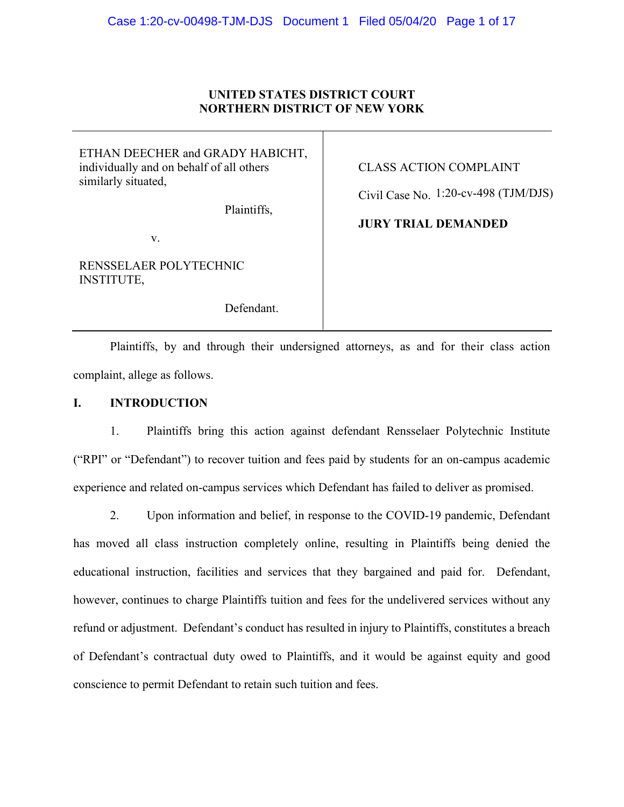# **UNITED STATES DISTRICT COURT NORTHERN DISTRICT OF NEW YORK**

ETHAN DEECHER and GRADY HABICHT, individually and on behalf of all others similarly situated,

Plaintiffs,

v.

RENSSELAER POLYTECHNIC INSTITUTE,

Defendant.

CLASS ACTION COMPLAINT

Civil Case No. 1:20-cv-498 (TJM/DJS)

**JURY TRIAL DEMANDED**

Plaintiffs, by and through their undersigned attorneys, as and for their class action complaint, allege as follows.

# **I. INTRODUCTION**

1. Plaintiffs bring this action against defendant Rensselaer Polytechnic Institute ("RPI" or "Defendant") to recover tuition and fees paid by students for an on-campus academic experience and related on-campus services which Defendant has failed to deliver as promised.

2. Upon information and belief, in response to the COVID-19 pandemic, Defendant has moved all class instruction completely online, resulting in Plaintiffs being denied the educational instruction, facilities and services that they bargained and paid for. Defendant, however, continues to charge Plaintiffs tuition and fees for the undelivered services without any refund or adjustment. Defendant's conduct has resulted in injury to Plaintiffs, constitutes a breach of Defendant's contractual duty owed to Plaintiffs, and it would be against equity and good conscience to permit Defendant to retain such tuition and fees.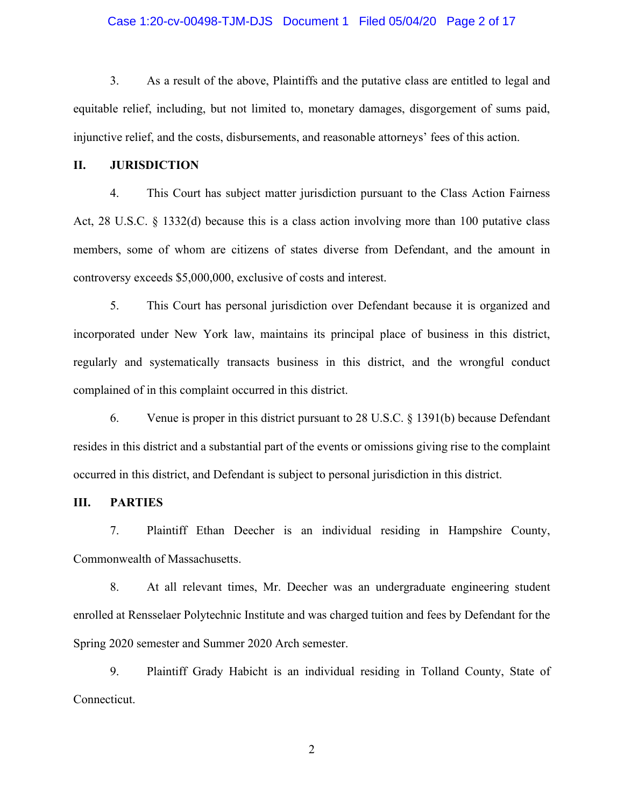## Case 1:20-cv-00498-TJM-DJS Document 1 Filed 05/04/20 Page 2 of 17

3. As a result of the above, Plaintiffs and the putative class are entitled to legal and equitable relief, including, but not limited to, monetary damages, disgorgement of sums paid, injunctive relief, and the costs, disbursements, and reasonable attorneys' fees of this action.

#### **II. JURISDICTION**

4. This Court has subject matter jurisdiction pursuant to the Class Action Fairness Act, 28 U.S.C. § 1332(d) because this is a class action involving more than 100 putative class members, some of whom are citizens of states diverse from Defendant, and the amount in controversy exceeds \$5,000,000, exclusive of costs and interest.

5. This Court has personal jurisdiction over Defendant because it is organized and incorporated under New York law, maintains its principal place of business in this district, regularly and systematically transacts business in this district, and the wrongful conduct complained of in this complaint occurred in this district.

6. Venue is proper in this district pursuant to 28 U.S.C. § 1391(b) because Defendant resides in this district and a substantial part of the events or omissions giving rise to the complaint occurred in this district, and Defendant is subject to personal jurisdiction in this district.

# **III. PARTIES**

7. Plaintiff Ethan Deecher is an individual residing in Hampshire County, Commonwealth of Massachusetts.

8. At all relevant times, Mr. Deecher was an undergraduate engineering student enrolled at Rensselaer Polytechnic Institute and was charged tuition and fees by Defendant for the Spring 2020 semester and Summer 2020 Arch semester.

9. Plaintiff Grady Habicht is an individual residing in Tolland County, State of Connecticut.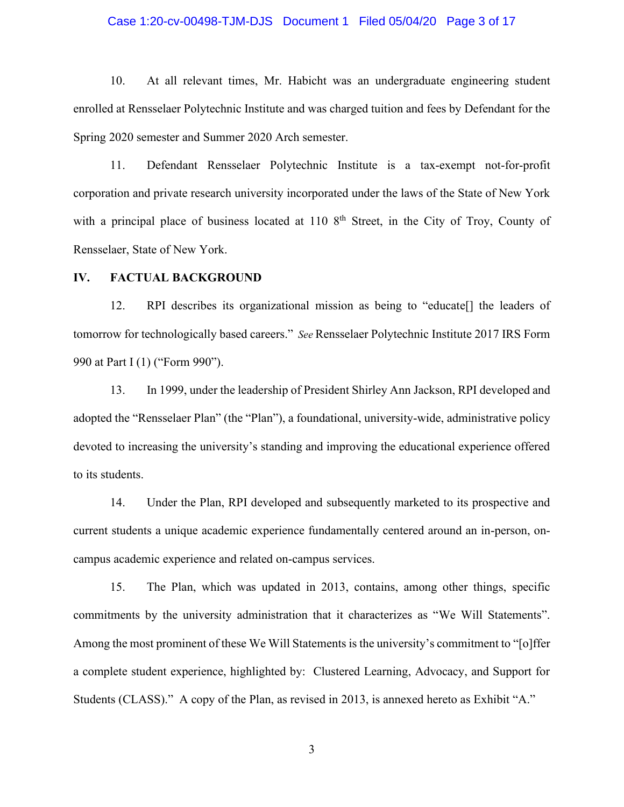## Case 1:20-cv-00498-TJM-DJS Document 1 Filed 05/04/20 Page 3 of 17

10. At all relevant times, Mr. Habicht was an undergraduate engineering student enrolled at Rensselaer Polytechnic Institute and was charged tuition and fees by Defendant for the Spring 2020 semester and Summer 2020 Arch semester.

11. Defendant Rensselaer Polytechnic Institute is a tax-exempt not-for-profit corporation and private research university incorporated under the laws of the State of New York with a principal place of business located at  $110\,8^{th}$  Street, in the City of Troy, County of Rensselaer, State of New York.

#### **IV. FACTUAL BACKGROUND**

12. RPI describes its organizational mission as being to "educate[] the leaders of tomorrow for technologically based careers." *See* Rensselaer Polytechnic Institute 2017 IRS Form 990 at Part I (1) ("Form 990").

13. In 1999, under the leadership of President Shirley Ann Jackson, RPI developed and adopted the "Rensselaer Plan" (the "Plan"), a foundational, university-wide, administrative policy devoted to increasing the university's standing and improving the educational experience offered to its students.

14. Under the Plan, RPI developed and subsequently marketed to its prospective and current students a unique academic experience fundamentally centered around an in-person, oncampus academic experience and related on-campus services.

15. The Plan, which was updated in 2013, contains, among other things, specific commitments by the university administration that it characterizes as "We Will Statements". Among the most prominent of these We Will Statements is the university's commitment to "[o]ffer a complete student experience, highlighted by: Clustered Learning, Advocacy, and Support for Students (CLASS)." A copy of the Plan, as revised in 2013, is annexed hereto as Exhibit "A."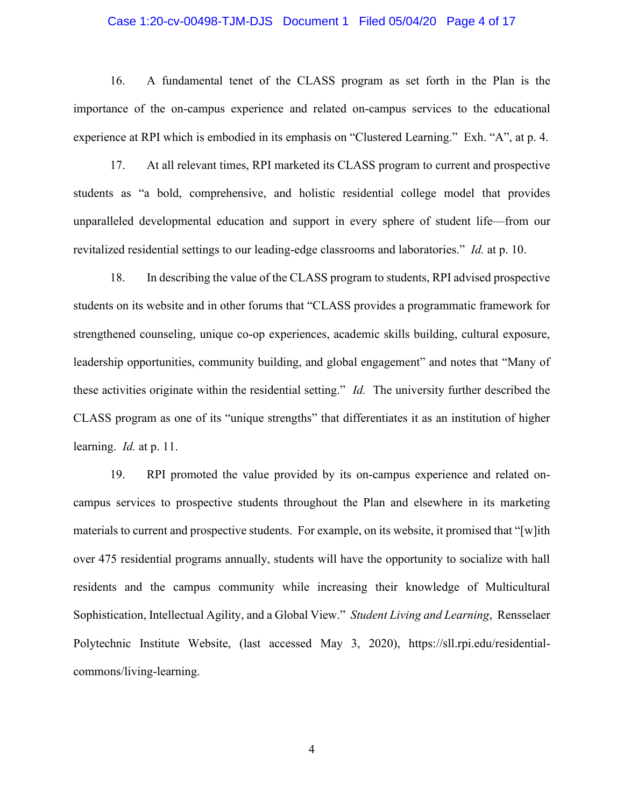### Case 1:20-cv-00498-TJM-DJS Document 1 Filed 05/04/20 Page 4 of 17

16. A fundamental tenet of the CLASS program as set forth in the Plan is the importance of the on-campus experience and related on-campus services to the educational experience at RPI which is embodied in its emphasis on "Clustered Learning." Exh. "A", at p. 4.

17. At all relevant times, RPI marketed its CLASS program to current and prospective students as "a bold, comprehensive, and holistic residential college model that provides unparalleled developmental education and support in every sphere of student life—from our revitalized residential settings to our leading-edge classrooms and laboratories." *Id.* at p. 10.

18. In describing the value of the CLASS program to students, RPI advised prospective students on its website and in other forums that "CLASS provides a programmatic framework for strengthened counseling, unique co-op experiences, academic skills building, cultural exposure, leadership opportunities, community building, and global engagement" and notes that "Many of these activities originate within the residential setting." *Id.* The university further described the CLASS program as one of its "unique strengths" that differentiates it as an institution of higher learning. *Id.* at p. 11.

19. RPI promoted the value provided by its on-campus experience and related oncampus services to prospective students throughout the Plan and elsewhere in its marketing materials to current and prospective students. For example, on its website, it promised that "[w]ith over 475 residential programs annually, students will have the opportunity to socialize with hall residents and the campus community while increasing their knowledge of Multicultural Sophistication, Intellectual Agility, and a Global View." *Student Living and Learning*, Rensselaer Polytechnic Institute Website, (last accessed May 3, 2020), https://sll.rpi.edu/residentialcommons/living-learning.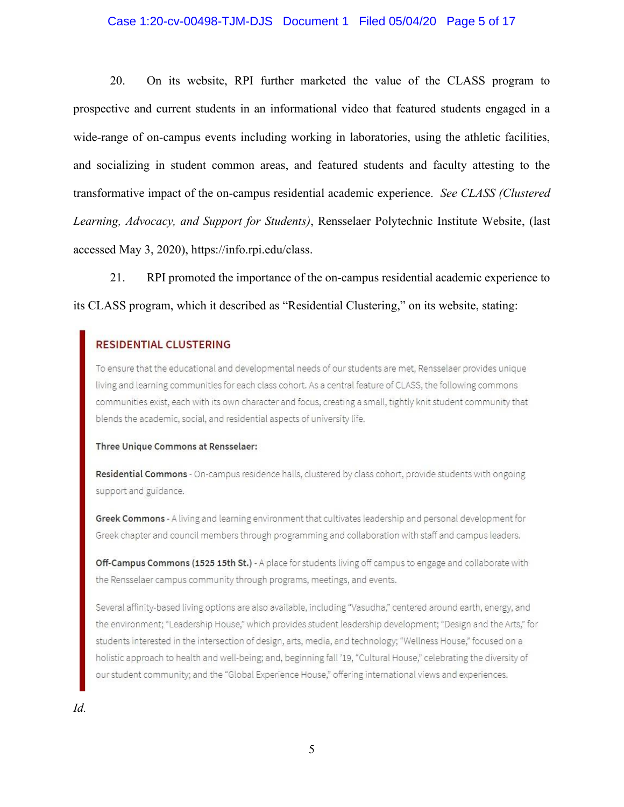## Case 1:20-cv-00498-TJM-DJS Document 1 Filed 05/04/20 Page 5 of 17

20. On its website, RPI further marketed the value of the CLASS program to prospective and current students in an informational video that featured students engaged in a wide-range of on-campus events including working in laboratories, using the athletic facilities, and socializing in student common areas, and featured students and faculty attesting to the transformative impact of the on-campus residential academic experience. *See CLASS (Clustered Learning, Advocacy, and Support for Students)*, Rensselaer Polytechnic Institute Website, (last accessed May 3, 2020), https://info.rpi.edu/class.

21. RPI promoted the importance of the on-campus residential academic experience to its CLASS program, which it described as "Residential Clustering," on its website, stating:

# **RESIDENTIAL CLUSTERING**

To ensure that the educational and developmental needs of our students are met, Rensselaer provides unique living and learning communities for each class cohort. As a central feature of CLASS, the following commons communities exist, each with its own character and focus, creating a small, tightly knit student community that blends the academic, social, and residential aspects of university life.

#### Three Unique Commons at Rensselaer:

Residential Commons - On-campus residence halls, clustered by class cohort, provide students with ongoing support and guidance.

Greek Commons - A living and learning environment that cultivates leadership and personal development for Greek chapter and council members through programming and collaboration with staff and campus leaders.

Off-Campus Commons (1525 15th St.) - A place for students living off campus to engage and collaborate with the Rensselaer campus community through programs, meetings, and events.

Several affinity-based living options are also available, including "Vasudha," centered around earth, energy, and the environment; "Leadership House," which provides student leadership development; "Design and the Arts," for students interested in the intersection of design, arts, media, and technology; "Wellness House," focused on a holistic approach to health and well-being; and, beginning fall '19, "Cultural House," celebrating the diversity of our student community; and the "Global Experience House," offering international views and experiences.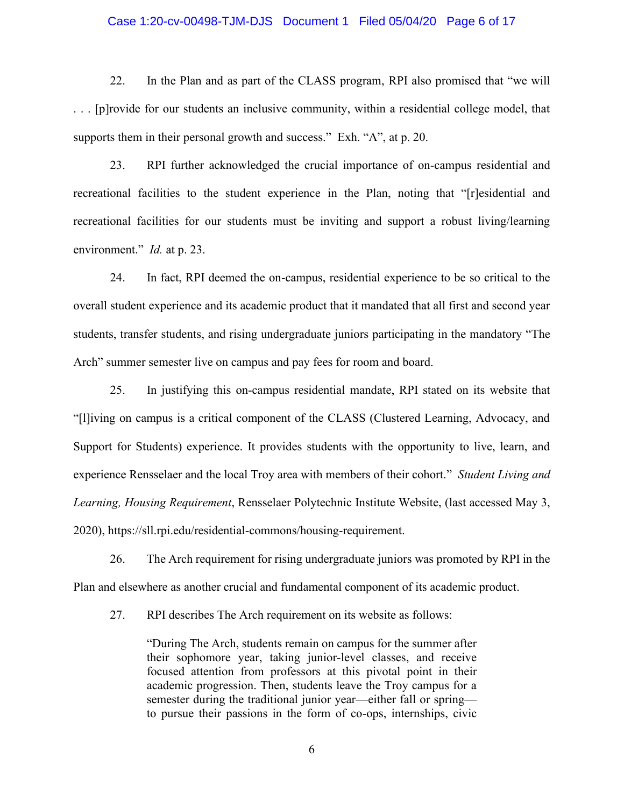## Case 1:20-cv-00498-TJM-DJS Document 1 Filed 05/04/20 Page 6 of 17

22. In the Plan and as part of the CLASS program, RPI also promised that "we will . . . [p]rovide for our students an inclusive community, within a residential college model, that supports them in their personal growth and success." Exh. "A", at p. 20.

23. RPI further acknowledged the crucial importance of on-campus residential and recreational facilities to the student experience in the Plan, noting that "[r]esidential and recreational facilities for our students must be inviting and support a robust living/learning environment." *Id.* at p. 23.

24. In fact, RPI deemed the on-campus, residential experience to be so critical to the overall student experience and its academic product that it mandated that all first and second year students, transfer students, and rising undergraduate juniors participating in the mandatory "The Arch" summer semester live on campus and pay fees for room and board.

25. In justifying this on-campus residential mandate, RPI stated on its website that "[l]iving on campus is a critical component of the CLASS (Clustered Learning, Advocacy, and Support for Students) experience. It provides students with the opportunity to live, learn, and experience Rensselaer and the local Troy area with members of their cohort." *Student Living and Learning, Housing Requirement*, Rensselaer Polytechnic Institute Website, (last accessed May 3, 2020), https://sll.rpi.edu/residential-commons/housing-requirement.

26. The Arch requirement for rising undergraduate juniors was promoted by RPI in the Plan and elsewhere as another crucial and fundamental component of its academic product.

27. RPI describes The Arch requirement on its website as follows:

"During The Arch, students remain on campus for the summer after their sophomore year, taking junior-level classes, and receive focused attention from professors at this pivotal point in their academic progression. Then, students leave the Troy campus for a semester during the traditional junior year—either fall or spring to pursue their passions in the form of co-ops, internships, civic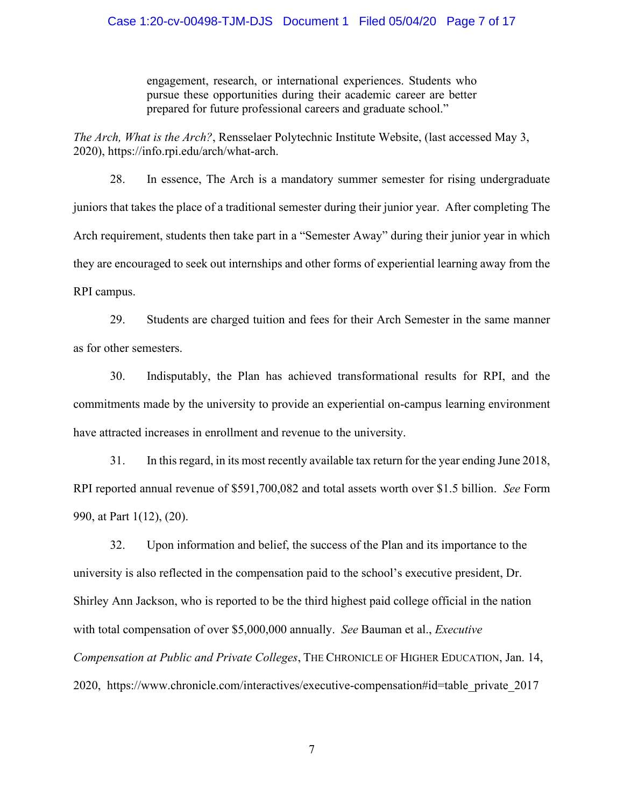## Case 1:20-cv-00498-TJM-DJS Document 1 Filed 05/04/20 Page 7 of 17

engagement, research, or international experiences. Students who pursue these opportunities during their academic career are better prepared for future professional careers and graduate school."

*The Arch, What is the Arch?*, Rensselaer Polytechnic Institute Website, (last accessed May 3, 2020), https://info.rpi.edu/arch/what-arch.

28. In essence, The Arch is a mandatory summer semester for rising undergraduate juniors that takes the place of a traditional semester during their junior year. After completing The Arch requirement, students then take part in a "Semester Away" during their junior year in which they are encouraged to seek out internships and other forms of experiential learning away from the RPI campus.

29. Students are charged tuition and fees for their Arch Semester in the same manner as for other semesters.

30. Indisputably, the Plan has achieved transformational results for RPI, and the commitments made by the university to provide an experiential on-campus learning environment have attracted increases in enrollment and revenue to the university.

31. In this regard, in its most recently available tax return for the year ending June 2018, RPI reported annual revenue of \$591,700,082 and total assets worth over \$1.5 billion. *See* Form 990, at Part 1(12), (20).

32. Upon information and belief, the success of the Plan and its importance to the university is also reflected in the compensation paid to the school's executive president, Dr. Shirley Ann Jackson, who is reported to be the third highest paid college official in the nation with total compensation of over \$5,000,000 annually. *See* Bauman et al., *Executive Compensation at Public and Private Colleges*, THE CHRONICLE OF HIGHER EDUCATION, Jan. 14, 2020, https://www.chronicle.com/interactives/executive-compensation#id=table\_private\_2017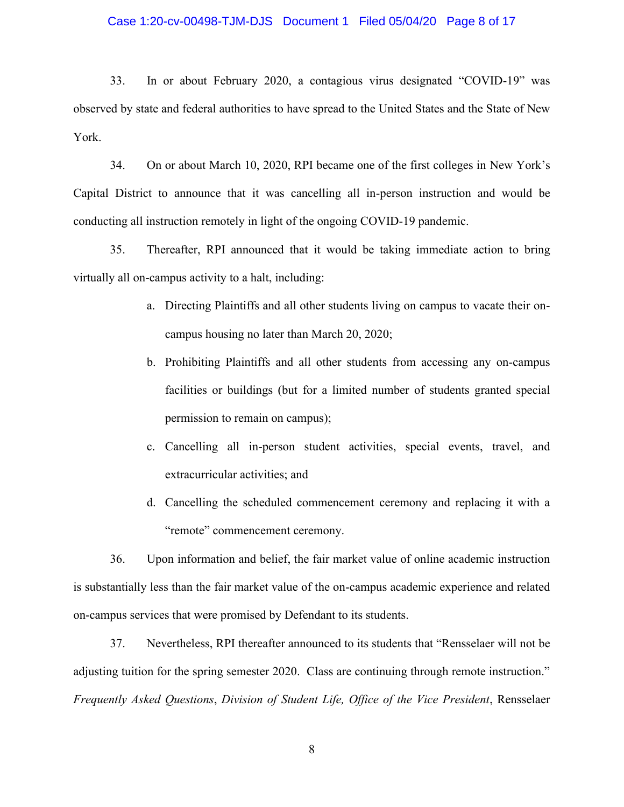#### Case 1:20-cv-00498-TJM-DJS Document 1 Filed 05/04/20 Page 8 of 17

33. In or about February 2020, a contagious virus designated "COVID-19" was observed by state and federal authorities to have spread to the United States and the State of New York.

34. On or about March 10, 2020, RPI became one of the first colleges in New York's Capital District to announce that it was cancelling all in-person instruction and would be conducting all instruction remotely in light of the ongoing COVID-19 pandemic.

35. Thereafter, RPI announced that it would be taking immediate action to bring virtually all on-campus activity to a halt, including:

- a. Directing Plaintiffs and all other students living on campus to vacate their oncampus housing no later than March 20, 2020;
- b. Prohibiting Plaintiffs and all other students from accessing any on-campus facilities or buildings (but for a limited number of students granted special permission to remain on campus);
- c. Cancelling all in-person student activities, special events, travel, and extracurricular activities; and
- d. Cancelling the scheduled commencement ceremony and replacing it with a "remote" commencement ceremony.

36. Upon information and belief, the fair market value of online academic instruction is substantially less than the fair market value of the on-campus academic experience and related on-campus services that were promised by Defendant to its students.

37. Nevertheless, RPI thereafter announced to its students that "Rensselaer will not be adjusting tuition for the spring semester 2020. Class are continuing through remote instruction." *Frequently Asked Questions*, *Division of Student Life, Office of the Vice President*, Rensselaer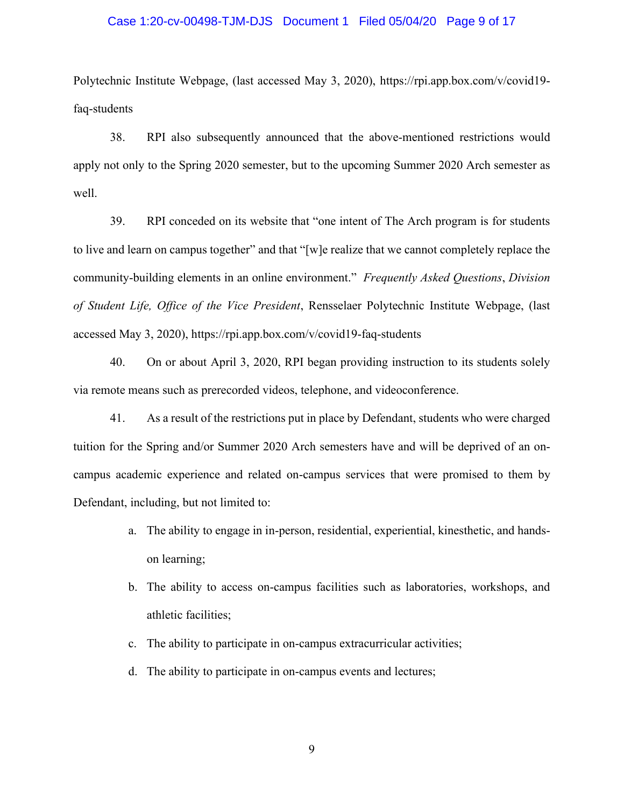#### Case 1:20-cv-00498-TJM-DJS Document 1 Filed 05/04/20 Page 9 of 17

Polytechnic Institute Webpage, (last accessed May 3, 2020), https://rpi.app.box.com/v/covid19 faq-students

38. RPI also subsequently announced that the above-mentioned restrictions would apply not only to the Spring 2020 semester, but to the upcoming Summer 2020 Arch semester as well.

39. RPI conceded on its website that "one intent of The Arch program is for students to live and learn on campus together" and that "[w]e realize that we cannot completely replace the community-building elements in an online environment." *Frequently Asked Questions*, *Division of Student Life, Office of the Vice President*, Rensselaer Polytechnic Institute Webpage, (last accessed May 3, 2020), https://rpi.app.box.com/v/covid19-faq-students

40. On or about April 3, 2020, RPI began providing instruction to its students solely via remote means such as prerecorded videos, telephone, and videoconference.

41. As a result of the restrictions put in place by Defendant, students who were charged tuition for the Spring and/or Summer 2020 Arch semesters have and will be deprived of an oncampus academic experience and related on-campus services that were promised to them by Defendant, including, but not limited to:

- a. The ability to engage in in-person, residential, experiential, kinesthetic, and handson learning;
- b. The ability to access on-campus facilities such as laboratories, workshops, and athletic facilities;
- c. The ability to participate in on-campus extracurricular activities;
- d. The ability to participate in on-campus events and lectures;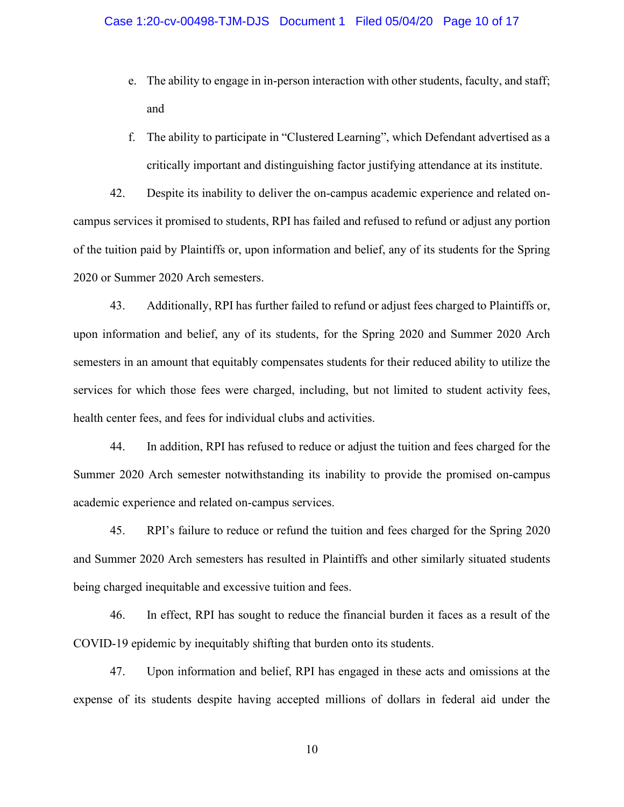- e. The ability to engage in in-person interaction with other students, faculty, and staff; and
- f. The ability to participate in "Clustered Learning", which Defendant advertised as a critically important and distinguishing factor justifying attendance at its institute.

42. Despite its inability to deliver the on-campus academic experience and related oncampus services it promised to students, RPI has failed and refused to refund or adjust any portion of the tuition paid by Plaintiffs or, upon information and belief, any of its students for the Spring 2020 or Summer 2020 Arch semesters.

43. Additionally, RPI has further failed to refund or adjust fees charged to Plaintiffs or, upon information and belief, any of its students, for the Spring 2020 and Summer 2020 Arch semesters in an amount that equitably compensates students for their reduced ability to utilize the services for which those fees were charged, including, but not limited to student activity fees, health center fees, and fees for individual clubs and activities.

44. In addition, RPI has refused to reduce or adjust the tuition and fees charged for the Summer 2020 Arch semester notwithstanding its inability to provide the promised on-campus academic experience and related on-campus services.

45. RPI's failure to reduce or refund the tuition and fees charged for the Spring 2020 and Summer 2020 Arch semesters has resulted in Plaintiffs and other similarly situated students being charged inequitable and excessive tuition and fees.

46. In effect, RPI has sought to reduce the financial burden it faces as a result of the COVID-19 epidemic by inequitably shifting that burden onto its students.

47. Upon information and belief, RPI has engaged in these acts and omissions at the expense of its students despite having accepted millions of dollars in federal aid under the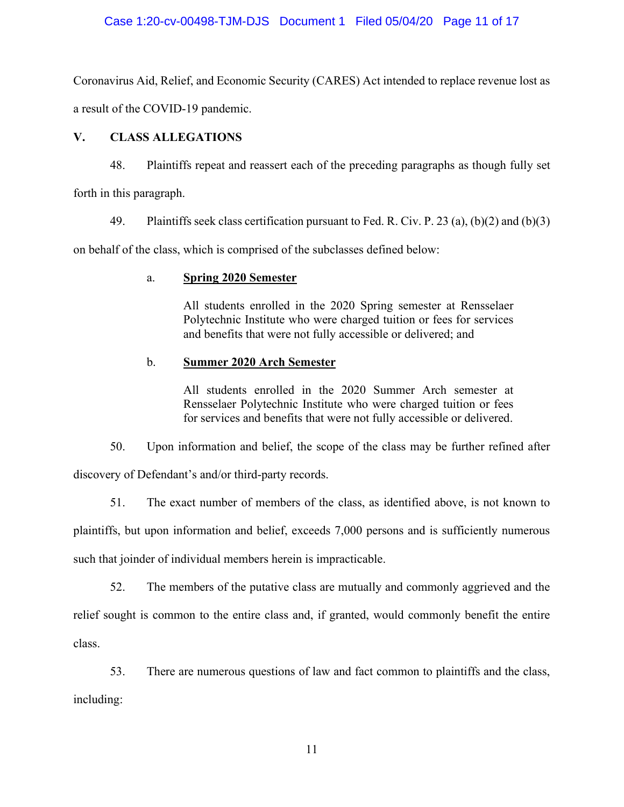# Case 1:20-cv-00498-TJM-DJS Document 1 Filed 05/04/20 Page 11 of 17

Coronavirus Aid, Relief, and Economic Security (CARES) Act intended to replace revenue lost as a result of the COVID-19 pandemic.

# **V. CLASS ALLEGATIONS**

48. Plaintiffs repeat and reassert each of the preceding paragraphs as though fully set forth in this paragraph.

49. Plaintiffs seek class certification pursuant to Fed. R. Civ. P. 23 (a), (b)(2) and (b)(3)

on behalf of the class, which is comprised of the subclasses defined below:

# a. **Spring 2020 Semester**

All students enrolled in the 2020 Spring semester at Rensselaer Polytechnic Institute who were charged tuition or fees for services and benefits that were not fully accessible or delivered; and

# b. **Summer 2020 Arch Semester**

All students enrolled in the 2020 Summer Arch semester at Rensselaer Polytechnic Institute who were charged tuition or fees for services and benefits that were not fully accessible or delivered.

50. Upon information and belief, the scope of the class may be further refined after discovery of Defendant's and/or third-party records.

51. The exact number of members of the class, as identified above, is not known to plaintiffs, but upon information and belief, exceeds 7,000 persons and is sufficiently numerous

such that joinder of individual members herein is impracticable.

52. The members of the putative class are mutually and commonly aggrieved and the relief sought is common to the entire class and, if granted, would commonly benefit the entire class.

53. There are numerous questions of law and fact common to plaintiffs and the class, including: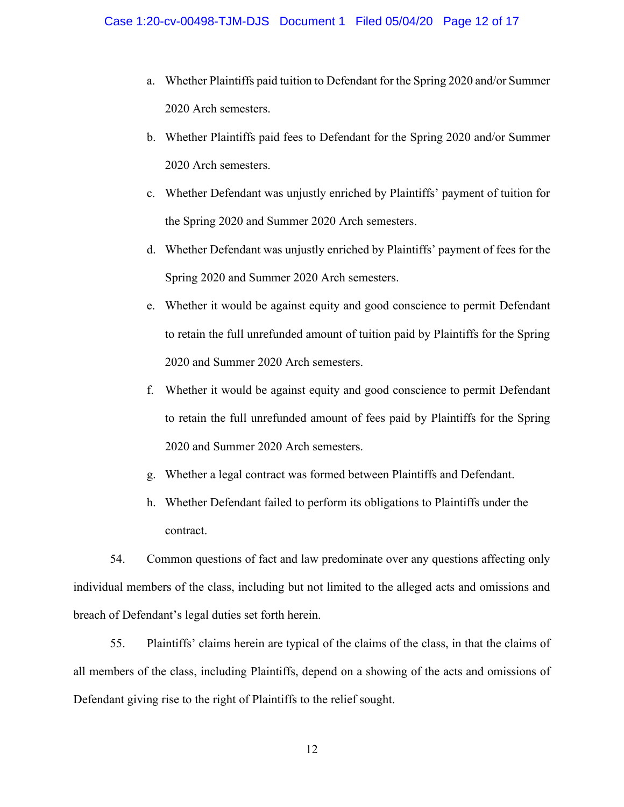- a. Whether Plaintiffs paid tuition to Defendant for the Spring 2020 and/or Summer 2020 Arch semesters.
- b. Whether Plaintiffs paid fees to Defendant for the Spring 2020 and/or Summer 2020 Arch semesters.
- c. Whether Defendant was unjustly enriched by Plaintiffs' payment of tuition for the Spring 2020 and Summer 2020 Arch semesters.
- d. Whether Defendant was unjustly enriched by Plaintiffs' payment of fees for the Spring 2020 and Summer 2020 Arch semesters.
- e. Whether it would be against equity and good conscience to permit Defendant to retain the full unrefunded amount of tuition paid by Plaintiffs for the Spring 2020 and Summer 2020 Arch semesters.
- f. Whether it would be against equity and good conscience to permit Defendant to retain the full unrefunded amount of fees paid by Plaintiffs for the Spring 2020 and Summer 2020 Arch semesters.
- g. Whether a legal contract was formed between Plaintiffs and Defendant.
- h. Whether Defendant failed to perform its obligations to Plaintiffs under the contract.

54. Common questions of fact and law predominate over any questions affecting only individual members of the class, including but not limited to the alleged acts and omissions and breach of Defendant's legal duties set forth herein.

55. Plaintiffs' claims herein are typical of the claims of the class, in that the claims of all members of the class, including Plaintiffs, depend on a showing of the acts and omissions of Defendant giving rise to the right of Plaintiffs to the relief sought.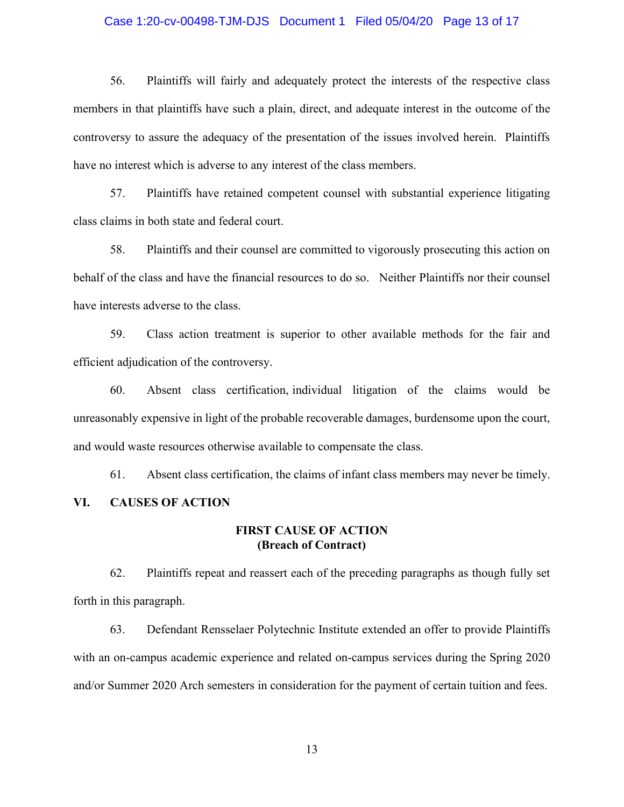### Case 1:20-cv-00498-TJM-DJS Document 1 Filed 05/04/20 Page 13 of 17

56. Plaintiffs will fairly and adequately protect the interests of the respective class members in that plaintiffs have such a plain, direct, and adequate interest in the outcome of the controversy to assure the adequacy of the presentation of the issues involved herein. Plaintiffs have no interest which is adverse to any interest of the class members.

57. Plaintiffs have retained competent counsel with substantial experience litigating class claims in both state and federal court.

58. Plaintiffs and their counsel are committed to vigorously prosecuting this action on behalf of the class and have the financial resources to do so. Neither Plaintiffs nor their counsel have interests adverse to the class.

59. Class action treatment is superior to other available methods for the fair and efficient adjudication of the controversy.

60. Absent class certification, individual litigation of the claims would be unreasonably expensive in light of the probable recoverable damages, burdensome upon the court, and would waste resources otherwise available to compensate the class.

61. Absent class certification, the claims of infant class members may never be timely.

# **VI. CAUSES OF ACTION**

## **FIRST CAUSE OF ACTION (Breach of Contract)**

62. Plaintiffs repeat and reassert each of the preceding paragraphs as though fully set forth in this paragraph.

63. Defendant Rensselaer Polytechnic Institute extended an offer to provide Plaintiffs with an on-campus academic experience and related on-campus services during the Spring 2020 and/or Summer 2020 Arch semesters in consideration for the payment of certain tuition and fees.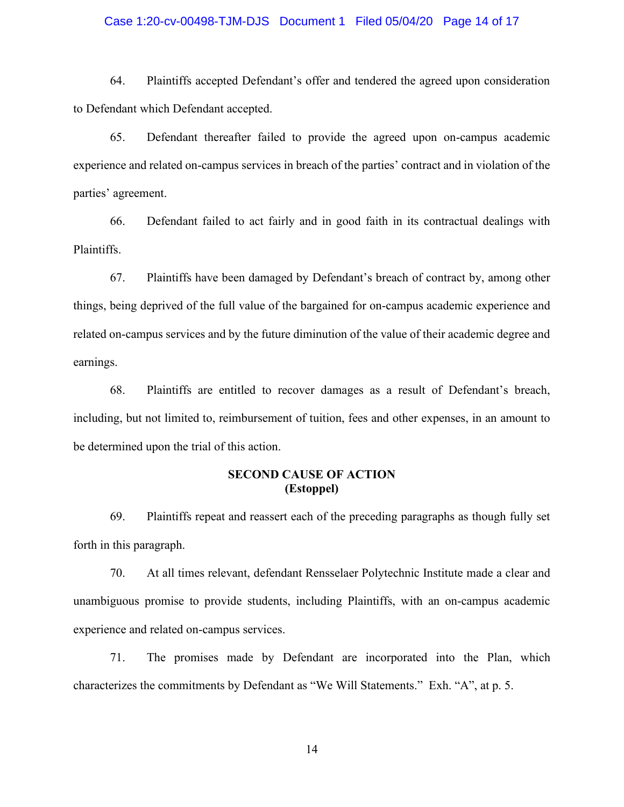### Case 1:20-cv-00498-TJM-DJS Document 1 Filed 05/04/20 Page 14 of 17

64. Plaintiffs accepted Defendant's offer and tendered the agreed upon consideration to Defendant which Defendant accepted.

65. Defendant thereafter failed to provide the agreed upon on-campus academic experience and related on-campus services in breach of the parties' contract and in violation of the parties' agreement.

66. Defendant failed to act fairly and in good faith in its contractual dealings with Plaintiffs.

67. Plaintiffs have been damaged by Defendant's breach of contract by, among other things, being deprived of the full value of the bargained for on-campus academic experience and related on-campus services and by the future diminution of the value of their academic degree and earnings.

68. Plaintiffs are entitled to recover damages as a result of Defendant's breach, including, but not limited to, reimbursement of tuition, fees and other expenses, in an amount to be determined upon the trial of this action.

# **SECOND CAUSE OF ACTION (Estoppel)**

69. Plaintiffs repeat and reassert each of the preceding paragraphs as though fully set forth in this paragraph.

70. At all times relevant, defendant Rensselaer Polytechnic Institute made a clear and unambiguous promise to provide students, including Plaintiffs, with an on-campus academic experience and related on-campus services.

71. The promises made by Defendant are incorporated into the Plan, which characterizes the commitments by Defendant as "We Will Statements." Exh. "A", at p. 5.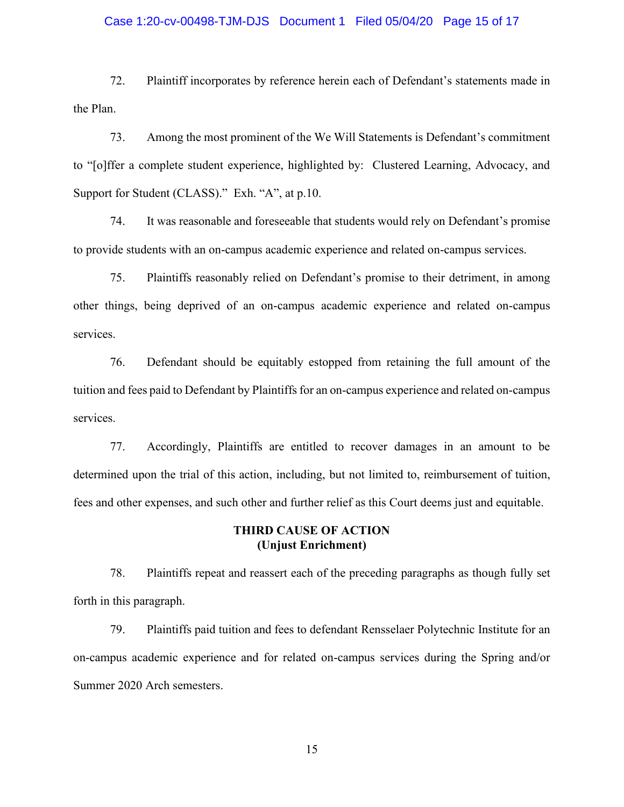### Case 1:20-cv-00498-TJM-DJS Document 1 Filed 05/04/20 Page 15 of 17

72. Plaintiff incorporates by reference herein each of Defendant's statements made in the Plan.

73. Among the most prominent of the We Will Statements is Defendant's commitment to "[o]ffer a complete student experience, highlighted by: Clustered Learning, Advocacy, and Support for Student (CLASS)." Exh. "A", at p.10.

74. It was reasonable and foreseeable that students would rely on Defendant's promise to provide students with an on-campus academic experience and related on-campus services.

75. Plaintiffs reasonably relied on Defendant's promise to their detriment, in among other things, being deprived of an on-campus academic experience and related on-campus services.

76. Defendant should be equitably estopped from retaining the full amount of the tuition and fees paid to Defendant by Plaintiffs for an on-campus experience and related on-campus services.

77. Accordingly, Plaintiffs are entitled to recover damages in an amount to be determined upon the trial of this action, including, but not limited to, reimbursement of tuition, fees and other expenses, and such other and further relief as this Court deems just and equitable.

## **THIRD CAUSE OF ACTION (Unjust Enrichment)**

78. Plaintiffs repeat and reassert each of the preceding paragraphs as though fully set forth in this paragraph.

79. Plaintiffs paid tuition and fees to defendant Rensselaer Polytechnic Institute for an on-campus academic experience and for related on-campus services during the Spring and/or Summer 2020 Arch semesters.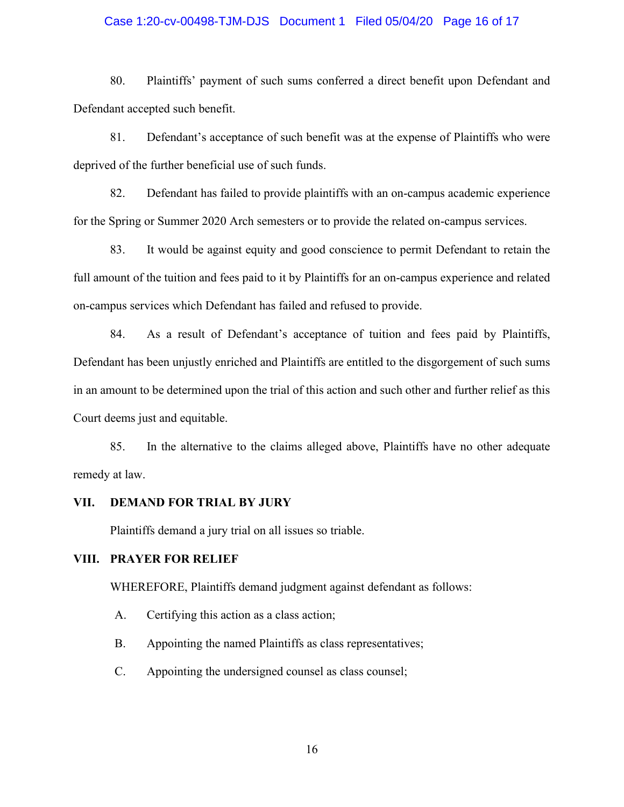### Case 1:20-cv-00498-TJM-DJS Document 1 Filed 05/04/20 Page 16 of 17

80. Plaintiffs' payment of such sums conferred a direct benefit upon Defendant and Defendant accepted such benefit.

81. Defendant's acceptance of such benefit was at the expense of Plaintiffs who were deprived of the further beneficial use of such funds.

82. Defendant has failed to provide plaintiffs with an on-campus academic experience for the Spring or Summer 2020 Arch semesters or to provide the related on-campus services.

83. It would be against equity and good conscience to permit Defendant to retain the full amount of the tuition and fees paid to it by Plaintiffs for an on-campus experience and related on-campus services which Defendant has failed and refused to provide.

84. As a result of Defendant's acceptance of tuition and fees paid by Plaintiffs, Defendant has been unjustly enriched and Plaintiffs are entitled to the disgorgement of such sums in an amount to be determined upon the trial of this action and such other and further relief as this Court deems just and equitable.

85. In the alternative to the claims alleged above, Plaintiffs have no other adequate remedy at law.

#### **VII. DEMAND FOR TRIAL BY JURY**

Plaintiffs demand a jury trial on all issues so triable.

## **VIII. PRAYER FOR RELIEF**

WHEREFORE, Plaintiffs demand judgment against defendant as follows:

- A. Certifying this action as a class action;
- B. Appointing the named Plaintiffs as class representatives;
- C. Appointing the undersigned counsel as class counsel;